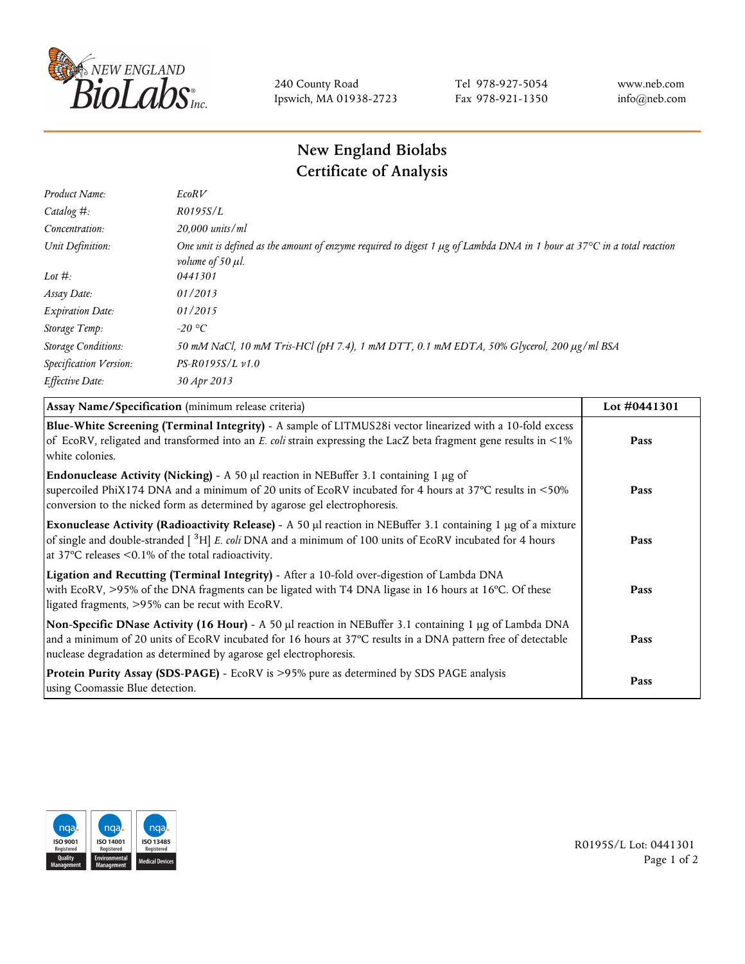

240 County Road Ipswich, MA 01938-2723 Tel 978-927-5054 Fax 978-921-1350 www.neb.com info@neb.com

## **New England Biolabs Certificate of Analysis**

| Product Name:              | EcoRV                                                                                                                                                                            |
|----------------------------|----------------------------------------------------------------------------------------------------------------------------------------------------------------------------------|
| Catalog $#$ :              | R0195S/L                                                                                                                                                                         |
| Concentration:             | 20,000 units/ml                                                                                                                                                                  |
| Unit Definition:           | One unit is defined as the amount of enzyme required to digest 1 $\mu$ g of Lambda DNA in 1 hour at 37 $\degree$ C in a total reaction<br><i>volume of 50 <math>\mu</math>l.</i> |
| Lot $#$ :                  | 0441301                                                                                                                                                                          |
| Assay Date:                | 01/2013                                                                                                                                                                          |
| <b>Expiration Date:</b>    | 01/2015                                                                                                                                                                          |
| Storage Temp:              | $-20$ °C                                                                                                                                                                         |
| <b>Storage Conditions:</b> | 50 mM NaCl, 10 mM Tris-HCl (pH 7.4), 1 mM DTT, 0.1 mM EDTA, 50% Glycerol, 200 µg/ml BSA                                                                                          |
| Specification Version:     | $PS-R0195S/L \nu 1.0$                                                                                                                                                            |
| Effective Date:            | 30 Apr 2013                                                                                                                                                                      |

| Assay Name/Specification (minimum release criteria)                                                                                                                                                                                                                                               | Lot #0441301 |
|---------------------------------------------------------------------------------------------------------------------------------------------------------------------------------------------------------------------------------------------------------------------------------------------------|--------------|
| Blue-White Screening (Terminal Integrity) - A sample of LITMUS28i vector linearized with a 10-fold excess<br>of EcoRV, religated and transformed into an E. coli strain expressing the LacZ beta fragment gene results in <1%<br>white colonies.                                                  | Pass         |
| <b>Endonuclease Activity (Nicking)</b> - A 50 $\mu$ I reaction in NEBuffer 3.1 containing 1 $\mu$ g of<br>supercoiled PhiX174 DNA and a minimum of 20 units of EcoRV incubated for 4 hours at 37°C results in <50%<br>conversion to the nicked form as determined by agarose gel electrophoresis. | Pass         |
| Exonuclease Activity (Radioactivity Release) - A 50 µl reaction in NEBuffer 3.1 containing 1 µg of a mixture<br>of single and double-stranded $\int^3 H$ E. coli DNA and a minimum of 100 units of EcoRV incubated for 4 hours<br>at 37 $\degree$ C releases < 0.1% of the total radioactivity.   | Pass         |
| Ligation and Recutting (Terminal Integrity) - After a 10-fold over-digestion of Lambda DNA<br>with EcoRV, >95% of the DNA fragments can be ligated with T4 DNA ligase in 16 hours at 16°C. Of these<br>ligated fragments, >95% can be recut with EcoRV.                                           | Pass         |
| Non-Specific DNase Activity (16 Hour) - A 50 µl reaction in NEBuffer 3.1 containing 1 µg of Lambda DNA<br>and a minimum of 20 units of EcoRV incubated for 16 hours at 37°C results in a DNA pattern free of detectable<br>nuclease degradation as determined by agarose gel electrophoresis.     | Pass         |
| Protein Purity Assay (SDS-PAGE) - EcoRV is >95% pure as determined by SDS PAGE analysis<br>using Coomassie Blue detection.                                                                                                                                                                        | Pass         |



R0195S/L Lot: 0441301 Page 1 of 2